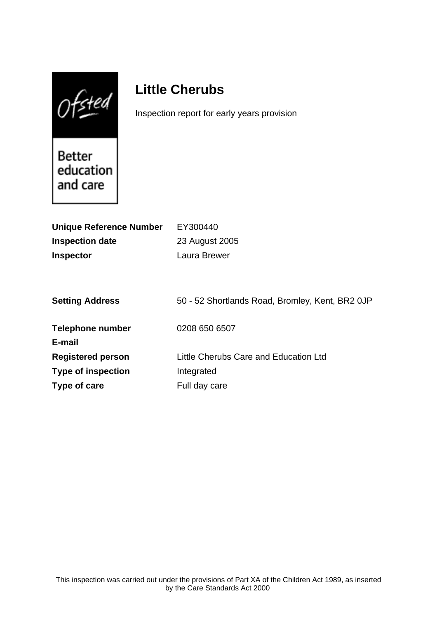$0$ fsted

# **Little Cherubs**

Inspection report for early years provision

Better<br>education and care

| <b>Unique Reference Number</b> | EY300440                                        |
|--------------------------------|-------------------------------------------------|
| <b>Inspection date</b>         | 23 August 2005                                  |
| <b>Inspector</b>               | Laura Brewer                                    |
|                                |                                                 |
|                                |                                                 |
| <b>Setting Address</b>         | 50 - 52 Shortlands Road, Bromley, Kent, BR2 0JP |
|                                |                                                 |
| <b>Telephone number</b>        | 0208 650 6507                                   |
| E-mail                         |                                                 |
| <b>Registered person</b>       | Little Cherubs Care and Education Ltd           |
| <b>Type of inspection</b>      | Integrated                                      |
| Type of care                   | Full day care                                   |
|                                |                                                 |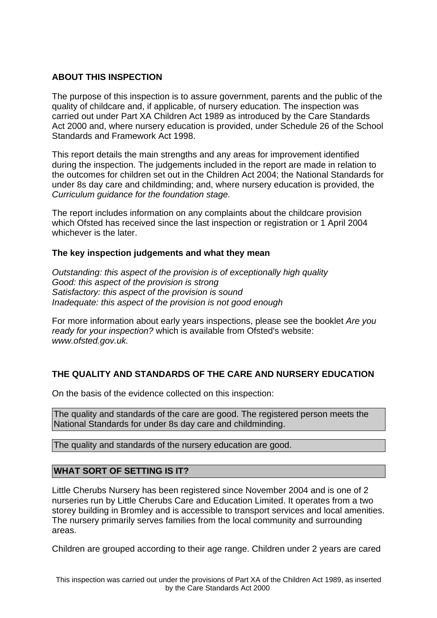## **ABOUT THIS INSPECTION**

The purpose of this inspection is to assure government, parents and the public of the quality of childcare and, if applicable, of nursery education. The inspection was carried out under Part XA Children Act 1989 as introduced by the Care Standards Act 2000 and, where nursery education is provided, under Schedule 26 of the School Standards and Framework Act 1998.

This report details the main strengths and any areas for improvement identified during the inspection. The judgements included in the report are made in relation to the outcomes for children set out in the Children Act 2004; the National Standards for under 8s day care and childminding; and, where nursery education is provided, the Curriculum guidance for the foundation stage.

The report includes information on any complaints about the childcare provision which Ofsted has received since the last inspection or registration or 1 April 2004 whichever is the later.

## **The key inspection judgements and what they mean**

Outstanding: this aspect of the provision is of exceptionally high quality Good: this aspect of the provision is strong Satisfactory: this aspect of the provision is sound Inadequate: this aspect of the provision is not good enough

For more information about early years inspections, please see the booklet Are you ready for your inspection? which is available from Ofsted's website: www.ofsted.gov.uk.

# **THE QUALITY AND STANDARDS OF THE CARE AND NURSERY EDUCATION**

On the basis of the evidence collected on this inspection:

The quality and standards of the care are good. The registered person meets the National Standards for under 8s day care and childminding.

The quality and standards of the nursery education are good.

## **WHAT SORT OF SETTING IS IT?**

Little Cherubs Nursery has been registered since November 2004 and is one of 2 nurseries run by Little Cherubs Care and Education Limited. It operates from a two storey building in Bromley and is accessible to transport services and local amenities. The nursery primarily serves families from the local community and surrounding areas.

Children are grouped according to their age range. Children under 2 years are cared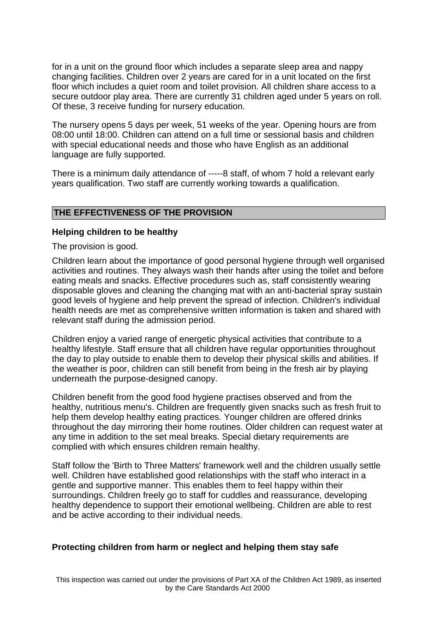for in a unit on the ground floor which includes a separate sleep area and nappy changing facilities. Children over 2 years are cared for in a unit located on the first floor which includes a quiet room and toilet provision. All children share access to a secure outdoor play area. There are currently 31 children aged under 5 years on roll. Of these, 3 receive funding for nursery education.

The nursery opens 5 days per week, 51 weeks of the year. Opening hours are from 08:00 until 18:00. Children can attend on a full time or sessional basis and children with special educational needs and those who have English as an additional language are fully supported.

There is a minimum daily attendance of -----8 staff, of whom 7 hold a relevant early years qualification. Two staff are currently working towards a qualification.

#### **THE EFFECTIVENESS OF THE PROVISION**

#### **Helping children to be healthy**

The provision is good.

Children learn about the importance of good personal hygiene through well organised activities and routines. They always wash their hands after using the toilet and before eating meals and snacks. Effective procedures such as, staff consistently wearing disposable gloves and cleaning the changing mat with an anti-bacterial spray sustain good levels of hygiene and help prevent the spread of infection. Children's individual health needs are met as comprehensive written information is taken and shared with relevant staff during the admission period.

Children enjoy a varied range of energetic physical activities that contribute to a healthy lifestyle. Staff ensure that all children have regular opportunities throughout the day to play outside to enable them to develop their physical skills and abilities. If the weather is poor, children can still benefit from being in the fresh air by playing underneath the purpose-designed canopy.

Children benefit from the good food hygiene practises observed and from the healthy, nutritious menu's. Children are frequently given snacks such as fresh fruit to help them develop healthy eating practices. Younger children are offered drinks throughout the day mirroring their home routines. Older children can request water at any time in addition to the set meal breaks. Special dietary requirements are complied with which ensures children remain healthy.

Staff follow the 'Birth to Three Matters' framework well and the children usually settle well. Children have established good relationships with the staff who interact in a gentle and supportive manner. This enables them to feel happy within their surroundings. Children freely go to staff for cuddles and reassurance, developing healthy dependence to support their emotional wellbeing. Children are able to rest and be active according to their individual needs.

## **Protecting children from harm or neglect and helping them stay safe**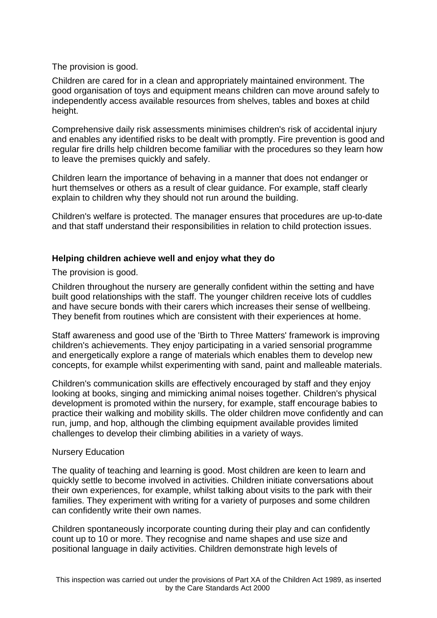The provision is good.

Children are cared for in a clean and appropriately maintained environment. The good organisation of toys and equipment means children can move around safely to independently access available resources from shelves, tables and boxes at child height.

Comprehensive daily risk assessments minimises children's risk of accidental injury and enables any identified risks to be dealt with promptly. Fire prevention is good and regular fire drills help children become familiar with the procedures so they learn how to leave the premises quickly and safely.

Children learn the importance of behaving in a manner that does not endanger or hurt themselves or others as a result of clear guidance. For example, staff clearly explain to children why they should not run around the building.

Children's welfare is protected. The manager ensures that procedures are up-to-date and that staff understand their responsibilities in relation to child protection issues.

## **Helping children achieve well and enjoy what they do**

The provision is good.

Children throughout the nursery are generally confident within the setting and have built good relationships with the staff. The younger children receive lots of cuddles and have secure bonds with their carers which increases their sense of wellbeing. They benefit from routines which are consistent with their experiences at home.

Staff awareness and good use of the 'Birth to Three Matters' framework is improving children's achievements. They enjoy participating in a varied sensorial programme and energetically explore a range of materials which enables them to develop new concepts, for example whilst experimenting with sand, paint and malleable materials.

Children's communication skills are effectively encouraged by staff and they enjoy looking at books, singing and mimicking animal noises together. Children's physical development is promoted within the nursery, for example, staff encourage babies to practice their walking and mobility skills. The older children move confidently and can run, jump, and hop, although the climbing equipment available provides limited challenges to develop their climbing abilities in a variety of ways.

## Nursery Education

The quality of teaching and learning is good. Most children are keen to learn and quickly settle to become involved in activities. Children initiate conversations about their own experiences, for example, whilst talking about visits to the park with their families. They experiment with writing for a variety of purposes and some children can confidently write their own names.

Children spontaneously incorporate counting during their play and can confidently count up to 10 or more. They recognise and name shapes and use size and positional language in daily activities. Children demonstrate high levels of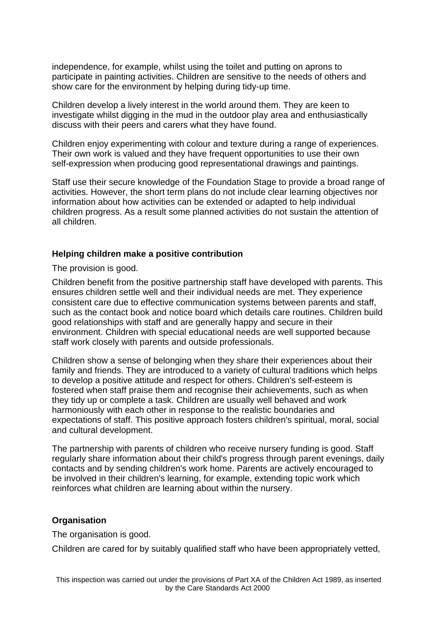independence, for example, whilst using the toilet and putting on aprons to participate in painting activities. Children are sensitive to the needs of others and show care for the environment by helping during tidy-up time.

Children develop a lively interest in the world around them. They are keen to investigate whilst digging in the mud in the outdoor play area and enthusiastically discuss with their peers and carers what they have found.

Children enjoy experimenting with colour and texture during a range of experiences. Their own work is valued and they have frequent opportunities to use their own self-expression when producing good representational drawings and paintings.

Staff use their secure knowledge of the Foundation Stage to provide a broad range of activities. However, the short term plans do not include clear learning objectives nor information about how activities can be extended or adapted to help individual children progress. As a result some planned activities do not sustain the attention of all children.

#### **Helping children make a positive contribution**

The provision is good.

Children benefit from the positive partnership staff have developed with parents. This ensures children settle well and their individual needs are met. They experience consistent care due to effective communication systems between parents and staff, such as the contact book and notice board which details care routines. Children build good relationships with staff and are generally happy and secure in their environment. Children with special educational needs are well supported because staff work closely with parents and outside professionals.

Children show a sense of belonging when they share their experiences about their family and friends. They are introduced to a variety of cultural traditions which helps to develop a positive attitude and respect for others. Children's self-esteem is fostered when staff praise them and recognise their achievements, such as when they tidy up or complete a task. Children are usually well behaved and work harmoniously with each other in response to the realistic boundaries and expectations of staff. This positive approach fosters children's spiritual, moral, social and cultural development.

The partnership with parents of children who receive nursery funding is good. Staff regularly share information about their child's progress through parent evenings, daily contacts and by sending children's work home. Parents are actively encouraged to be involved in their children's learning, for example, extending topic work which reinforces what children are learning about within the nursery.

#### **Organisation**

The organisation is good.

Children are cared for by suitably qualified staff who have been appropriately vetted,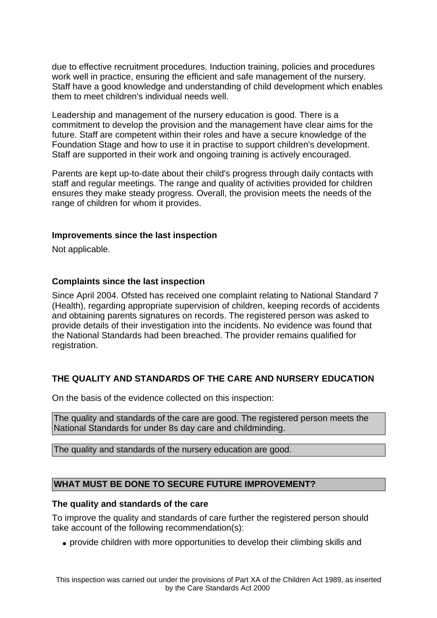due to effective recruitment procedures. Induction training, policies and procedures work well in practice, ensuring the efficient and safe management of the nursery. Staff have a good knowledge and understanding of child development which enables them to meet children's individual needs well.

Leadership and management of the nursery education is good. There is a commitment to develop the provision and the management have clear aims for the future. Staff are competent within their roles and have a secure knowledge of the Foundation Stage and how to use it in practise to support children's development. Staff are supported in their work and ongoing training is actively encouraged.

Parents are kept up-to-date about their child's progress through daily contacts with staff and regular meetings. The range and quality of activities provided for children ensures they make steady progress. Overall, the provision meets the needs of the range of children for whom it provides.

## **Improvements since the last inspection**

Not applicable.

## **Complaints since the last inspection**

Since April 2004. Ofsted has received one complaint relating to National Standard 7 (Health), regarding appropriate supervision of children, keeping records of accidents and obtaining parents signatures on records. The registered person was asked to provide details of their investigation into the incidents. No evidence was found that the National Standards had been breached. The provider remains qualified for registration.

# **THE QUALITY AND STANDARDS OF THE CARE AND NURSERY EDUCATION**

On the basis of the evidence collected on this inspection:

The quality and standards of the care are good. The registered person meets the National Standards for under 8s day care and childminding.

The quality and standards of the nursery education are good.

## **WHAT MUST BE DONE TO SECURE FUTURE IMPROVEMENT?**

#### **The quality and standards of the care**

To improve the quality and standards of care further the registered person should take account of the following recommendation(s):

• provide children with more opportunities to develop their climbing skills and